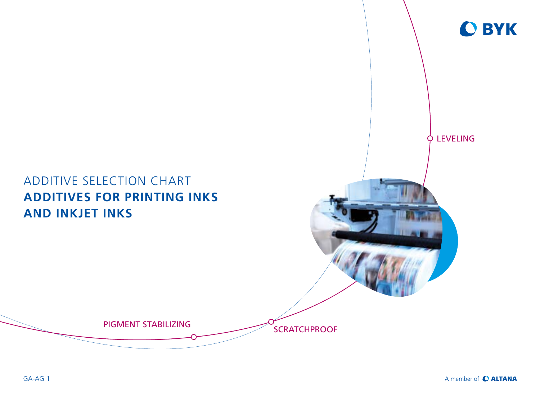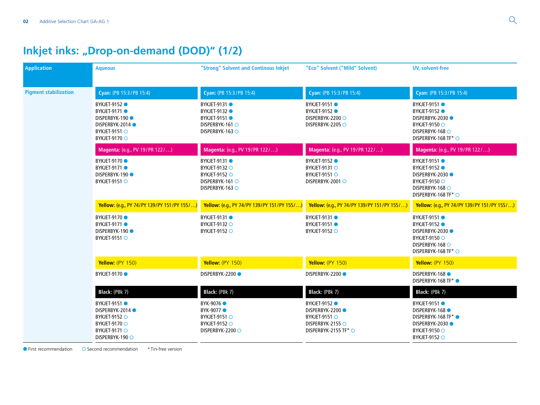# **Inkjet inks: "Drop-on-demand (DOD)" (1/2)**

| <b>Application</b>           | <b>Aqueous</b>                                                                                                                     | "Strong" Solvent and Continous Inkjet                                                                      | "Eco" Solvent ("Mild" Solvent)                                                                            | <b>UV, solvent-free</b>                                                                                                          |
|------------------------------|------------------------------------------------------------------------------------------------------------------------------------|------------------------------------------------------------------------------------------------------------|-----------------------------------------------------------------------------------------------------------|----------------------------------------------------------------------------------------------------------------------------------|
| <b>Pigment stabilization</b> | Cyan: (PB 15:3/PB 15:4)                                                                                                            | Cyan: (PB 15:3/PB 15:4)                                                                                    | Cyan: (PB 15:3/PB 15:4)                                                                                   | Cyan: (PB 15:3/PB 15:4)                                                                                                          |
|                              | <b>BYKJET-9152 O</b><br><b>BYKJET-9171●</b><br>DISPERBYK-190<br>DISPERBYK-2014 ●<br>BYKJET-9151 ○<br><b>BYKJET-9170 ○</b>          | <b>BYKJET-9131</b><br><b>BYKJET-9132</b><br><b>BYKJET-9151 ●</b><br>DISPERBYK-161 O<br>DISPERBYK-163 O     | <b>BYKJET-9151</b><br><b>BYKJET-9152</b><br>DISPERBYK-2200 O<br>DISPERBYK-2205 O                          | <b>BYKJET-9151 ●</b><br><b>BYKJET-9152</b><br>DISPERBYK-2030 ●<br>BYKJET-9150 ○<br>DISPERBYK-168 O<br>DISPERBYK-168 TF* ○        |
|                              | Magenta: (e.g., PV 19/PR 122/)                                                                                                     | Magenta: (e.g., PV 19/PR 122/)                                                                             | Magenta: (e.g., PV 19/PR 122/)                                                                            | Magenta: (e.g., PV 19/PR 122/)                                                                                                   |
|                              | <b>BYKJET-9170</b><br>BYKJET-9171 ●<br><b>DISPERBYK-190 ●</b><br>BYKJET-9151 O                                                     | <b>BYKJET-9131 ●</b><br><b>BYKJET-9132 ○</b><br><b>BYKJET-9152 ○</b><br>DISPERBYK-161 O<br>DISPERBYK-163 O | <b>BYKJET-9152 ●</b><br>BYKJET-9131 O<br>BYKJET-9151 O<br>DISPERBYK-2001 O                                | <b>BYKJET-9151 ●</b><br><b>BYKJET-9152</b><br>DISPERBYK-2030 ●<br><b>BYKJET-9150 ○</b><br>DISPERBYK-168 ○<br>DISPERBYK-168 TF* ○ |
|                              | Yellow: (e.g., PY 74/PY 139/PY 151/PY 155/)                                                                                        | Yellow: (e.g., PY 74/PY 139/PY 151/PY 155/)                                                                | Yellow: (e.g., PY 74/PY 139/PY 151/PY 155/)                                                               | Yellow: (e.g., PY 74/PY 139/PY 151/PY 155/)                                                                                      |
|                              | <b>BYKJET-9170</b><br><b>BYKJET-9171●</b><br><b>DISPERBYK-190 ●</b><br>BYKJET-9151 ○                                               | <b>BYKJET-9131</b><br><b>BYKJET-9132 ○</b><br><b>BYKJET-9152 ○</b>                                         | <b>BYKJET-9131 ●</b><br><b>BYKJET-9151 ●</b><br><b>BYKJET-9152 ○</b>                                      | <b>BYKJET-9151 ●</b><br><b>BYKJET-9152 ●</b><br>DISPERBYK-2030<br><b>BYKJET-9150 ○</b><br>DISPERBYK-168 O<br>DISPERBYK-168 TF* ○ |
|                              | Yellow: (PY 150)                                                                                                                   | Yellow: (PY 150)                                                                                           | Yellow: (PY 150)                                                                                          | Yellow: (PY 150)                                                                                                                 |
|                              | <b>BYKJET-9170</b>                                                                                                                 | <b>DISPERBYK-2200 ●</b>                                                                                    | <b>DISPERBYK-2200●</b>                                                                                    | <b>DISPERBYK-168 ●</b><br>DISPERBYK-168 TF* ●                                                                                    |
|                              | Black: (PBk 7)                                                                                                                     | Black: (PBk 7)                                                                                             | Black: (PBk 7)                                                                                            | Black: (PBk 7)                                                                                                                   |
|                              | BYKJET-9151 ●<br><b>DISPERBYK-2014●</b><br>BYKJET-9152 O<br><b>BYKJET-9170 ○</b><br><b>BYKJET-9171 O</b><br><b>DISPERBYK-190 ○</b> | BYK-9076 ●<br>BYK-9077 ●<br>BYKJET-9151 O<br><b>BYKJET-9152 ○</b><br>DISPERBYK-2200 O                      | <b>BYKJET-9152</b><br><b>DISPERBYK-2200●</b><br>BYKJET-9151 O<br>DISPERBYK-2155 ○<br>DISPERBYK-2155 TF* O | <b>BYKJET-9151 ●</b><br><b>DISPERBYK-168 ●</b><br>DISPERBYK-168 TF* ●<br>DISPERBYK-2030<br>BYKJET-9150 ○<br><b>BYKJET-9152 ○</b> |

● First recommendation ● Second recommendation \* Tin-free version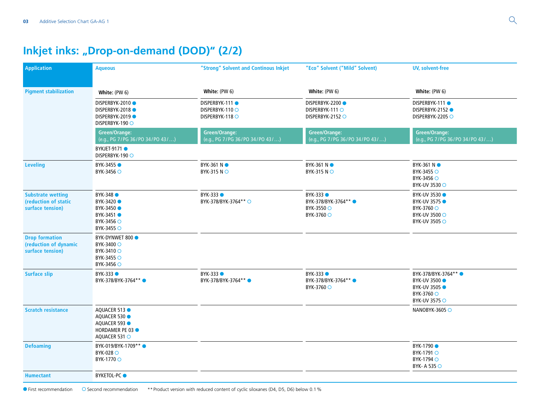# **Inkjet inks: "Drop-on-demand (DOD)" (2/2)**

| <b>Application</b>                                                   | <b>Aqueous</b>                                                                       | "Strong" Solvent and Continous Inkjet               | "Eco" Solvent ("Mild" Solvent)                                       | <b>UV, solvent-free</b>                                                                           |
|----------------------------------------------------------------------|--------------------------------------------------------------------------------------|-----------------------------------------------------|----------------------------------------------------------------------|---------------------------------------------------------------------------------------------------|
| <b>Pigment stabilization</b>                                         | White: (PW 6)                                                                        | White: (PW 6)                                       | White: (PW 6)                                                        | White: (PW 6)                                                                                     |
|                                                                      | DISPERBYK-2010<br>DISPERBYK-2018<br><b>DISPERBYK-2019●</b><br><b>DISPERBYK-190 ○</b> | DISPERBYK-111<br>DISPERBYK-110 O<br>DISPERBYK-118 O | DISPERBYK-2200<br>DISPERBYK-111 O<br>DISPERBYK-2152 O                | DISPERBYK-111<br>DISPERBYK-2152 ●<br>DISPERBYK-2205 O                                             |
|                                                                      | Green/Orange:<br>(e.g., PG 7/PG 36/PO 34/PO 43/)                                     | Green/Orange:<br>(e.g., PG 7/PG 36/PO 34/PO 43/)    | <b>Green/Orange:</b><br>(e.g., PG 7/PG 36/PO 34/PO 43/)              | <b>Green/Orange:</b><br>(e.g., PG 7/PG 36/PO 34/PO 43/)                                           |
|                                                                      | <b>BYKJET-9171 ●</b><br>DISPERBYK-190 O                                              |                                                     |                                                                      |                                                                                                   |
| <b>Leveling</b>                                                      | BYK-3455 ●<br>BYK-3456 ○                                                             | BYK-361 NO<br>BYK-315 NO                            | <b>BYK-361 N</b> ●<br><b>BYK-315 NO</b>                              | <b>BYK-361 N</b> ●<br>BYK-3455 ○<br>BYK-3456 ○<br><b>BYK-UV 3530 ○</b>                            |
| <b>Substrate wetting</b><br>(reduction of static<br>surface tension) | BYK-348 ●<br>BYK-3420 ●<br>BYK-3450<br>BYK-3451 ●<br>BYK-3456 ○<br>BYK-3455 O        | <b>BYK-333 ●</b><br>BYK-378/BYK-3764** ○            | <b>BYK-333 ●</b><br>BYK-378/BYK-3764** ●<br>BYK-3550 ○<br>BYK-3760 ○ | <b>BYK-UV 3530 O</b><br><b>BYK-UV 3575 O</b><br>BYK-3760 ○<br>BYK-UV 3500 ○<br>BYK-UV 3505 ○      |
| <b>Drop formation</b><br>(reduction of dynamic<br>surface tension)   | BYK-DYNWET 800 ·<br>BYK-3400 O<br>BYK-3410 O<br>BYK-3455 O<br>BYK-3456 ○             |                                                     |                                                                      |                                                                                                   |
| <b>Surface slip</b>                                                  | BYK-333 ●<br>BYK-378/BYK-3764**                                                      | $BYK-333$<br>BYK-378/BYK-3764**                     | BYK-333 O<br>BYK-378/BYK-3764**<br>BYK-3760 ○                        | BYK-378/BYK-3764**<br><b>BYK-UV 3500 0</b><br><b>BYK-UV 3505 ·</b><br>BYK-3760 ○<br>BYK-UV 3575 ○ |
| <b>Scratch resistance</b>                                            | AQUACER 513<br>AQUACER 530<br>AOUACER 593<br>HORDAMER PE 03<br>AQUACER 531 O         |                                                     |                                                                      | NANOBYK-3605 O                                                                                    |
| <b>Defoaming</b>                                                     | BYK-019/BYK-1709** ●<br>BYK-028 ○<br>BYK-1770 ○                                      |                                                     |                                                                      | BYK-1790 ●<br>BYK-1791 ○<br>BYK-1794 ○<br>BYK-A 535 ○                                             |
| <b>Humectant</b>                                                     | BYKETOL-PC O                                                                         |                                                     |                                                                      |                                                                                                   |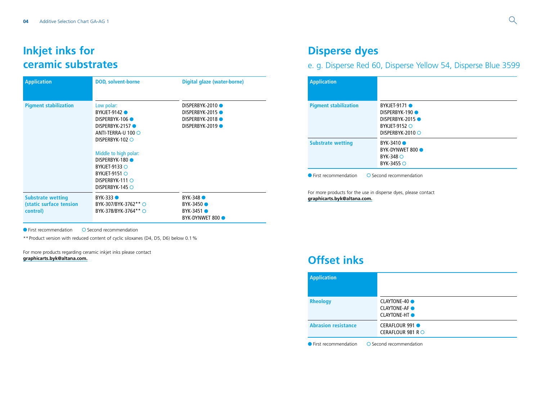#### **Inkjet inks for ceramic substrates**

| <b>Application</b>                                              | <b>DOD, solvent-borne</b>                                                                                                                                                                                                                                   | Digital glaze (water-borne)                                          |
|-----------------------------------------------------------------|-------------------------------------------------------------------------------------------------------------------------------------------------------------------------------------------------------------------------------------------------------------|----------------------------------------------------------------------|
| <b>Pigment stabilization</b>                                    | Low polar:<br><b>BYKJET-9142 ●</b><br>DISPERBYK-106<br>DISPERBYK-2157<br>ANTI-TERRA-U 100 $\bigcirc$<br>DISPERBYK-102 ○<br>Middle to high polar:<br>DISPERBYK-180<br>BYKJET-9133 $\bigcirc$<br>BYKJET-9151 $\bigcirc$<br>DISPERBYK-111 O<br>DISPERBYK-145 ○ | DISPERBYK-2010<br>DISPERBYK-2015<br>DISPERBYK-2018<br>DISPERBYK-2019 |
| <b>Substrate wetting</b><br>(static surface tension<br>control) | BYK-333 ●<br>BYK-307/BYK-3762** O<br>BYK-378/BYK-3764** ○                                                                                                                                                                                                   | $BYK-348$ $\bullet$<br>BYK-3450<br>BYK-3451 ●<br>BYK-DYNWET 800 ·    |

 $\bullet$  First recommendation  $\bullet$  Second recommendation

\*\*Product version with reduced content of cyclic siloxanes (D4, D5, D6) below 0.1%

For more products regarding ceramic inkjet inks please contact **[graphicarts.byk@altana.com.](mailto:graphicarts.byk%40altana.com?subject=)**

#### **Disperse dyes**

e. g. Disperse Red 60, Disperse Yellow 54, Disperse Blue 3599

| <b>Application</b>           |                                                                     |
|------------------------------|---------------------------------------------------------------------|
| <b>Pigment stabilization</b> | <b>BYKJET-9171 ●</b><br>DISPERBYK-190                               |
|                              | DISPERBYK-2015<br><b>BYKJET-9152 O</b><br>DISPERBYK-2010 $\bigcirc$ |
| <b>Substrate wetting</b>     | BYK-3410<br>BYK-DYNWET 800 ·<br>BYK-348 $\circ$<br>BYK-3455 ○       |

For more products for the use in disperse dyes, please contact **[graphicarts.byk@altana.com.](mailto:graphicarts.byk%40altana.com?subject=)**

#### **Offset inks**

| <b>Application</b>         |                                                           |
|----------------------------|-----------------------------------------------------------|
|                            |                                                           |
| <b>Rheology</b>            | CLAYTONE-40 ●<br><b>CLAYTONE-AF</b><br><b>CLAYTONE-HT</b> |
| <b>Abrasion resistance</b> | <b>CERAFLOUR 991</b><br>CERAFLOUR 981 R $\circ$           |

 $\bullet$  First recommendation  $\bullet$  Second recommendation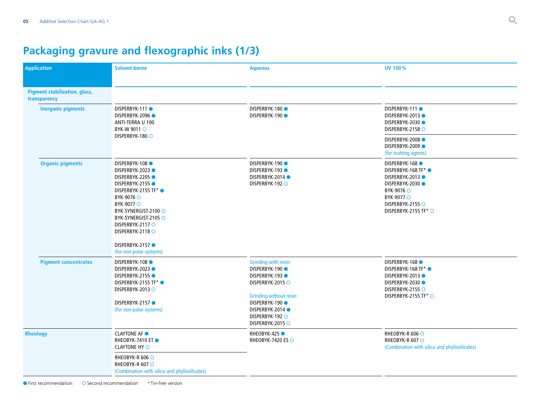# **Packaging gravure and flexographic inks (1/3)**

| <b>Application</b>                                   | <b>Solvent-borne</b>                                                                                                                                                                                                                                                          | <b>Aqueous</b>                                                                                                                                                                                   | UV 100%                                                                                                                                                       |
|------------------------------------------------------|-------------------------------------------------------------------------------------------------------------------------------------------------------------------------------------------------------------------------------------------------------------------------------|--------------------------------------------------------------------------------------------------------------------------------------------------------------------------------------------------|---------------------------------------------------------------------------------------------------------------------------------------------------------------|
| <b>Pigment stabilization, gloss,</b><br>transparency |                                                                                                                                                                                                                                                                               |                                                                                                                                                                                                  |                                                                                                                                                               |
| <b>Inorganic pigments</b>                            | <b>DISPERBYK-111●</b><br>DISPERBYK-2096<br>ANTI-TERRA U 100<br>BYK-W 9011 ○<br>DISPERBYK-180 ○                                                                                                                                                                                | DISPERBYK-180<br>DISPERBYK-190                                                                                                                                                                   | DISPERBYK-111<br>DISPERBYK-2013 ●<br>DISPERBYK-2030 ●<br>DISPERBYK-2158 O                                                                                     |
|                                                      |                                                                                                                                                                                                                                                                               |                                                                                                                                                                                                  | <b>DISPERBYK-2008●</b><br><b>DISPERBYK-2009●</b><br>(for matting agents)                                                                                      |
| <b>Organic pigments</b>                              | <b>DISPERBYK-108 ●</b><br>DISPERBYK-2023<br><b>DISPERBYK-2205●</b><br>DISPERBYK-2155<br>DISPERBYK-2155 TF* ●<br>BYK-9076 ○<br>BYK-9077 ○<br>BYK-SYNERGIST-2100 ○<br>BYK-SYNERGIST-2105 ○<br>DISPERBYK-2117 O<br>DISPERBYK-2118 O<br>DISPERBYK-2157<br>(for non-polar systems) | <b>DISPERBYK-190 ●</b><br><b>DISPERBYK-193 ●</b><br>DISPERBYK-2014 ●<br>DISPERBYK-192 O                                                                                                          | DISPERBYK-168<br>DISPERBYK-168 TF* ●<br>DISPERBYK-2013 ●<br>DISPERBYK-2030 ●<br>BYK-9076 ○<br>BYK-9077 O<br>DISPERBYK-2155 O<br>DISPERBYK-2155 TF* $\bigcirc$ |
| <b>Pigment concentrates</b>                          | <b>DISPERBYK-108 ●</b><br>DISPERBYK-2023<br><b>DISPERBYK-2155 ●</b><br>DISPERBYK-2155 TF* ●<br>DISPERBYK-2013 O<br><b>DISPERBYK-2157●</b><br>(for non-polar systems)                                                                                                          | Grinding with resin:<br><b>DISPERBYK-190 ●</b><br><b>DISPERBYK-193●</b><br>DISPERBYK-2015 O<br>Grinding without resin:<br>DISPERBYK-190<br>DISPERBYK-2014<br>DISPERBYK-192 O<br>DISPERBYK-2015 O | DISPERBYK-168<br>DISPERBYK-168 TF* ●<br>DISPERBYK-2013 ●<br><b>DISPERBYK-2030●</b><br>DISPERBYK-2155 O<br>DISPERBYK-2155 TF* ○                                |
| Rheology                                             | <b>CLAYTONE AF O</b><br>RHEOBYK-7410 ET ●<br><b>CLAYTONE HY O</b>                                                                                                                                                                                                             | RHEOBYK-425<br>RHEOBYK-7420 ES ○                                                                                                                                                                 | RHEOBYK-R 606 ○<br>RHEOBYK-R 607 O<br>(Combination with silica and phyllosilicates)                                                                           |
|                                                      | RHEOBYK-R 606 ○<br>RHEOBYK-R 607 O<br>(Combination with silica and phyllosilicates)                                                                                                                                                                                           |                                                                                                                                                                                                  |                                                                                                                                                               |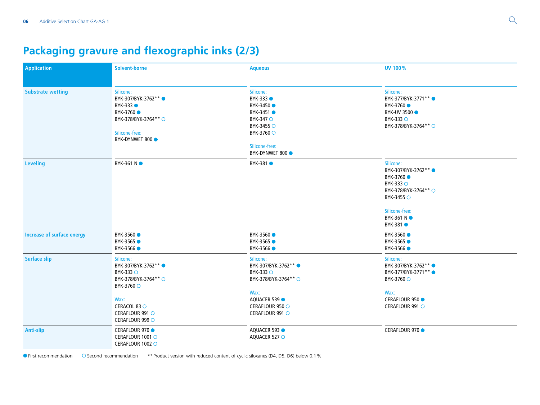# **Packaging gravure and flexographic inks (2/3)**

| <b>Application</b>                | <b>Solvent-borne</b>                                                                                                                               | <b>Aqueous</b>                                                                                                                           | UV 100%                                                                                                                                                 |
|-----------------------------------|----------------------------------------------------------------------------------------------------------------------------------------------------|------------------------------------------------------------------------------------------------------------------------------------------|---------------------------------------------------------------------------------------------------------------------------------------------------------|
| <b>Substrate wetting</b>          | Silicone:<br>BYK-307/BYK-3762** ●<br>$BYK-333$ $\bullet$<br>BYK-3760 ●<br>BYK-378/BYK-3764** ○<br>Silicone-free:<br>BYK-DYNWET 800 ·               | Silicone:<br>BYK-333 <b>O</b><br>BYK-3450 ●<br>BYK-3451 ●<br>BYK-347 ○<br>BYK-3455 ○<br>BYK-3760 ○<br>Silicone-free:<br>BYK-DYNWET 800 · | Silicone:<br>BYK-377/BYK-3771** ●<br>BYK-3760<br><b>BYK-UV 3500 ·</b><br><b>BYK-333 ○</b><br>BYK-378/BYK-3764** ○                                       |
| <b>Leveling</b>                   | BYK-361 NO                                                                                                                                         | BYK-381 ●                                                                                                                                | Silicone:<br>BYK-307/BYK-3762** ●<br>BYK-3760 ●<br><b>BYK-333 ○</b><br>BYK-378/BYK-3764** O<br>BYK-3455 ○<br>Silicone-free:<br>BYK-361 N ●<br>BYK-381 ● |
| <b>Increase of surface energy</b> | BYK-3560 ●<br>BYK-3565 ●<br>BYK-3566 ●                                                                                                             | BYK-3560 ●<br>BYK-3565 ●<br>BYK-3566 ●                                                                                                   | BYK-3560 ●<br>BYK-3565 ●<br>BYK-3566 ●                                                                                                                  |
| <b>Surface slip</b>               | Silicone:<br>BYK-307/BYK-3762** ●<br>BYK-333 ○<br>BYK-378/BYK-3764** O<br>BYK-3760 ○<br>Wax:<br>CERACOL 83 O<br>CERAFLOUR 991 O<br>CERAFLOUR 999 O | Silicone:<br>BYK-307/BYK-3762** ●<br>BYK-333 ○<br>BYK-378/BYK-3764** ○<br>Wax:<br>AQUACER 539<br>CERAFLOUR 950 O<br>CERAFLOUR 991 O      | Silicone:<br>BYK-307/BYK-3762** ●<br>BYK-377/BYK-3771** ●<br>BYK-3760 ○<br>Wax:<br>CERAFLOUR 950 ●<br>CERAFLOUR 991 O                                   |
| <b>Anti-slip</b>                  | CERAFLOUR 970 ●<br>CERAFLOUR 1001 O<br>CERAFLOUR 1002 O                                                                                            | AQUACER 593<br>AQUACER 527 O                                                                                                             | CERAFLOUR 970                                                                                                                                           |

● First recommendation ○ Second recommendation \*\* Product version with reduced content of cyclic siloxanes (D4, D5, D6) below 0.1%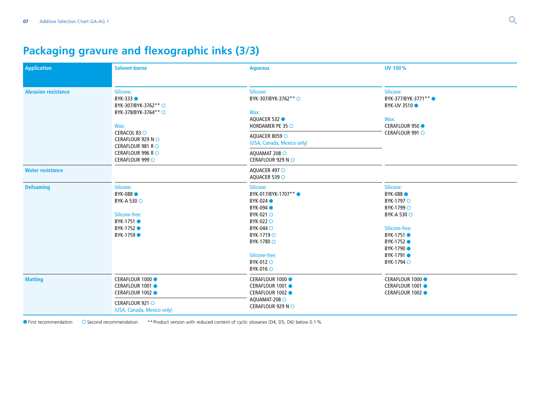# **Packaging gravure and flexographic inks (3/3)**

| Application                | <b>Solvent-borne</b>                                                                                                                                                           | <b>Aqueous</b>                                                                                                                                                                  | <b>UV 100%</b>                                                                                                                                                 |
|----------------------------|--------------------------------------------------------------------------------------------------------------------------------------------------------------------------------|---------------------------------------------------------------------------------------------------------------------------------------------------------------------------------|----------------------------------------------------------------------------------------------------------------------------------------------------------------|
| <b>Abrasion resistance</b> | Silicone:<br>BYK-333 O<br>BYK-307/BYK-3762** ○<br>BYK-378/BYK-3764** ○<br>Wax:<br>CERACOL 83 O<br>CERAFLOUR 929 N ○<br>CERAFLOUR 981 RO<br>CERAFLOUR 996 RO<br>CERAFLOUR 999 O | Silicone:<br>BYK-307/BYK-3762** ○<br>Wax:<br>AQUACER 532<br>HORDAMER PE 35 O                                                                                                    | Silicone:<br>BYK-377/BYK-3771** ●<br><b>BYK-UV 3510 0</b><br>Wax:<br>CERAFLOUR 950 ●                                                                           |
|                            |                                                                                                                                                                                | AQUACER 8059 O<br>(USA, Canada, Mexico only)                                                                                                                                    | CERAFLOUR 991 O                                                                                                                                                |
|                            |                                                                                                                                                                                | AQUAMAT 208 O<br>CERAFLOUR 929 NO                                                                                                                                               |                                                                                                                                                                |
| <b>Water resistance</b>    |                                                                                                                                                                                | AQUACER 497 O<br>AQUACER 539 O                                                                                                                                                  |                                                                                                                                                                |
| <b>Defoaming</b>           | Silicone:<br>BYK-088<br><b>BYK-A 530 ○</b><br>Silicone-free:<br>BYK-1751 ●<br>BYK-1752 ●<br>BYK-1759 ●                                                                         | Silicone:<br>BYK-017/BYK-1707** ●<br>BYK-024 <b>O</b><br>BYK-094<br>BYK-021 O<br>BYK-022 O<br>BYK-044 O<br>BYK-1719 O<br>BYK-1780 ○<br>Silicone-free:<br>BYK-012 O<br>BYK-016 O | Silicone:<br>BYK-088<br>BYK-1797 ○<br>BYK-1799 ○<br><b>BYK-A 530 ○</b><br>Silicone-free:<br>BYK-1751 ●<br>BYK-1752 ●<br>BYK-1790 ●<br>BYK-1791 ●<br>BYK-1794 ○ |
| <b>Matting</b>             | CERAFLOUR 1000 ●<br>CERAFLOUR 1001 ●<br>CERAFLOUR 1002 ●<br>CERAFLOUR 921 O<br>(USA, Canada, Mexico only)                                                                      | CERAFLOUR 1000 ●<br>CERAFLOUR 1001 ●<br>CERAFLOUR 1002 ●<br>AQUAMAT-208 O<br>CERAFLOUR 929 NO                                                                                   | CERAFLOUR 1000 ●<br>CERAFLOUR 1001 ●<br>CERAFLOUR 1002 ●                                                                                                       |

● First recommendation ○ Second recommendation \*\* Product version with reduced content of cyclic siloxanes (D4, D5, D6) below 0.1%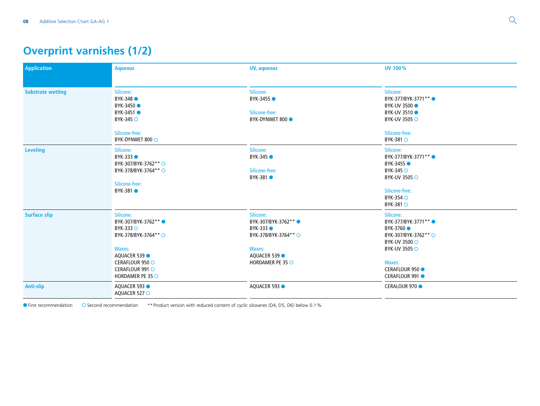# **Overprint varnishes (1/2)**

| <b>Application</b>       | <b>Aqueous</b>                                                                                                                                                | UV, aqueous                                                                                                       | UV 100%                                                                                                                                                               |
|--------------------------|---------------------------------------------------------------------------------------------------------------------------------------------------------------|-------------------------------------------------------------------------------------------------------------------|-----------------------------------------------------------------------------------------------------------------------------------------------------------------------|
| <b>Substrate wetting</b> | Silicone:<br>BYK-348 ●<br>BYK-3450 ●<br>BYK-3451 ●<br>BYK-345 O<br>Silicone-free:<br>BYK-DYNWET 800 ○                                                         | Silicone:<br>BYK-3455 ●<br>Silicone-free:<br>BYK-DYNWET 800 ●                                                     | Silicone:<br>BYK-377/BYK-3771** ●<br><b>BYK-UV 3500 0</b><br>BYK-UV 3510<br>BYK-UV 3505 ○<br>Silicone-free:<br>BYK-381 O                                              |
| <b>Leveling</b>          | Silicone:<br>BYK-333 ●<br>BYK-307/BYK-3762**○<br>BYK-378/BYK-3764**○<br>Silicone-free:<br>BYK-381 ●                                                           | Silicone:<br>BYK-345 ●<br>Silicone-free:<br>BYK-381 ●                                                             | Silicone:<br>BYK-377/BYK-3771** ●<br>BYK-3455 ●<br><b>BYK-345 ○</b><br><b>BYK-UV 3505 ○</b><br>Silicone-free:<br><b>BYK-354 ○</b><br>BYK-381 ○                        |
| <b>Surface slip</b>      | Silicone:<br>BYK-307/BYK-3762**<br><b>BYK-333 ○</b><br>BYK-378/BYK-3764**○<br>Waxes:<br>AQUACER 539<br>CERAFLOUR 950 O<br>CERAFLOUR 991 O<br>HORDAMER PE 35 O | Silicone:<br>BYK-307/BYK-3762**<br>BYK-333 ●<br>BYK-378/BYK-3764** ○<br>Waxes:<br>AQUACER 539<br>HORDAMER PE 35 O | Silicone:<br>BYK-377/BYK-3771**<br>BYK-3760 ●<br>BYK-307/BYK-3762** ○<br><b>BYK-UV 3500 ○</b><br><b>BYK-UV 3505 ○</b><br>Waxes:<br>CERAFLOUR 950 ●<br>CERAFLOUR 991 ● |
| <b>Anti-slip</b>         | AQUACER 593<br>AQUACER 527 O                                                                                                                                  | AQUACER 593                                                                                                       | CERALOUR 970 ●                                                                                                                                                        |

First recommendation Second recommendation \*\*Product version with reduced content of cyclic siloxanes (D4, D5, D6) below 0.1%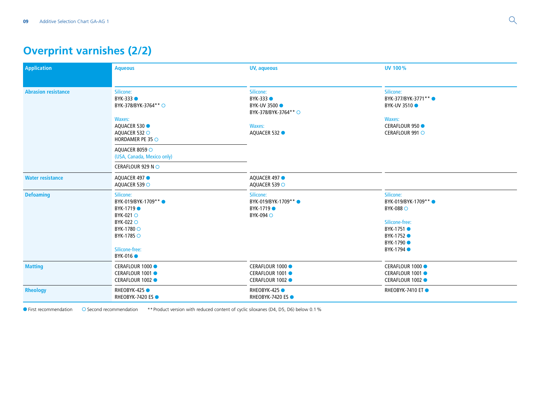# **Overprint varnishes (2/2)**

| <b>Application</b>         | <b>Aqueous</b>                                                                                                                            | UV, aqueous                                                                                            | UV 100%                                                                                                                         |
|----------------------------|-------------------------------------------------------------------------------------------------------------------------------------------|--------------------------------------------------------------------------------------------------------|---------------------------------------------------------------------------------------------------------------------------------|
| <b>Abrasion resistance</b> | Silicone:<br>BYK-333 ●<br>BYK-378/BYK-3764** ○<br>Waxes:<br>AQUACER 530<br>AQUACER 532 O<br>HORDAMER PE 35 $\circ$                        | Silicone:<br>BYK-333 ●<br><b>BYK-UV 3500 ·</b><br>BYK-378/BYK-3764** ○<br><b>Waxes:</b><br>AQUACER 532 | Silicone:<br>BYK-377/BYK-3771** ●<br>BYK-UV 3510<br>Waxes:<br><b>CERAFLOUR 950 ·</b><br>CERAFLOUR 991 O                         |
|                            | AQUACER 8059 O<br>(USA, Canada, Mexico only)<br>CERAFLOUR 929 NO                                                                          |                                                                                                        |                                                                                                                                 |
| <b>Water resistance</b>    | AQUACER 497<br>AQUACER 539 O                                                                                                              | AQUACER 497<br>AQUACER 539 O                                                                           |                                                                                                                                 |
| <b>Defoaming</b>           | Silicone:<br>BYK-019/BYK-1709** ●<br>BYK-1719 ●<br>BYK-021 O<br>BYK-022 O<br>BYK-1780 ○<br>BYK-1785 ○<br>Silicone-free:<br><b>BYK-016</b> | Silicone:<br>BYK-019/BYK-1709** ●<br>BYK-1719 ●<br>BYK-094 O                                           | Silicone:<br>BYK-019/BYK-1709** ●<br><b>BYK-088</b> O<br>Silicone-free:<br>BYK-1751 ●<br>BYK-1752 ●<br>BYK-1790 ●<br>BYK-1794 ● |
| <b>Matting</b>             | CERAFLOUR 1000 ●<br>CERAFLOUR 1001 ●<br>CERAFLOUR 1002 ●                                                                                  | CERAFLOUR 1000 ●<br>CERAFLOUR 1001 ●<br>CERAFLOUR 1002 ●                                               | CERAFLOUR 1000 ●<br>CERAFLOUR 1001 ●<br>CERAFLOUR 1002 ●                                                                        |
| Rheology                   | <b>RHEOBYK-425 ●</b><br><b>RHEOBYK-7420 ES●</b>                                                                                           | RHEOBYK-425<br><b>RHEOBYK-7420 ES●</b>                                                                 | RHEOBYK-7410 ET ●                                                                                                               |

● First recommendation ○ Second recommendation \*\* Product version with reduced content of cyclic siloxanes (D4, D5, D6) below 0.1%